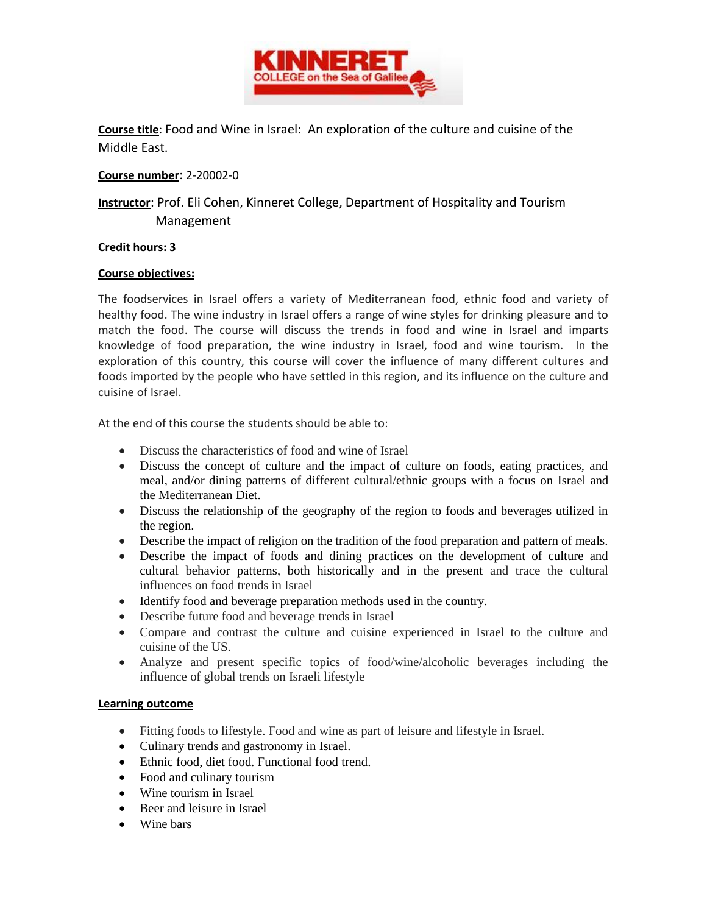

**Course title**: Food and Wine in Israel: An exploration of the culture and cuisine of the Middle East.

**Course number**: 2-20002-0

**Instructor**: Prof. Eli Cohen, Kinneret College, Department of Hospitality and Tourism Management

## **Credit hours: 3**

## **Course objectives:**

The foodservices in Israel offers a variety of Mediterranean food, ethnic food and variety of healthy food. The wine industry in Israel offers a range of wine styles for drinking pleasure and to match the food. The course will discuss the trends in food and wine in Israel and imparts knowledge of food preparation, the wine industry in Israel, food and wine tourism. In the exploration of this country, this course will cover the influence of many different cultures and foods imported by the people who have settled in this region, and its influence on the culture and cuisine of Israel.

At the end of this course the students should be able to:

- Discuss the characteristics of food and wine of Israel
- Discuss the concept of culture and the impact of culture on foods, eating practices, and meal, and/or dining patterns of different cultural/ethnic groups with a focus on Israel and the Mediterranean Diet.
- Discuss the relationship of the geography of the region to foods and beverages utilized in the region.
- Describe the impact of religion on the tradition of the food preparation and pattern of meals.
- Describe the impact of foods and dining practices on the development of culture and cultural behavior patterns, both historically and in the present and trace the cultural influences on food trends in Israel
- Identify food and beverage preparation methods used in the country.
- Describe future food and beverage trends in Israel
- Compare and contrast the culture and cuisine experienced in Israel to the culture and cuisine of the US.
- Analyze and present specific topics of food/wine/alcoholic beverages including the influence of global trends on Israeli lifestyle

## **Learning outcome**

- Fitting foods to lifestyle. Food and wine as part of leisure and lifestyle in Israel.
- Culinary trends and gastronomy in Israel.
- Ethnic food, diet food. Functional food trend.
- Food and culinary tourism
- Wine tourism in Israel
- Beer and leisure in Israel
- Wine bars